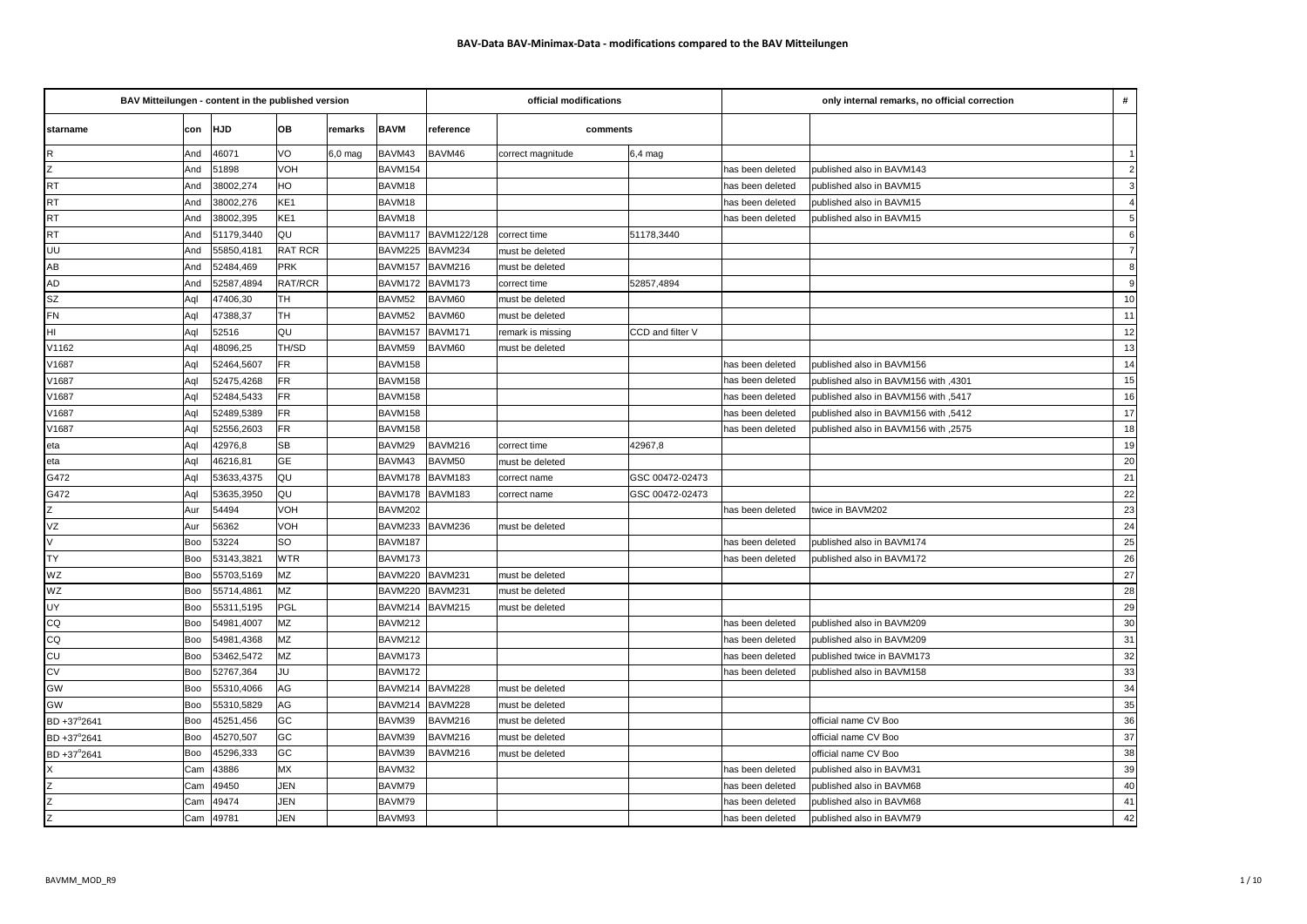| BAV Mitteilungen - content in the published version |     |            |                 |           |             | official modifications |                   | only internal remarks, no official correction |                  |                                      |                |
|-----------------------------------------------------|-----|------------|-----------------|-----------|-------------|------------------------|-------------------|-----------------------------------------------|------------------|--------------------------------------|----------------|
| starname                                            | con | <b>HJD</b> | OВ              | remarks   | <b>BAVM</b> | reference              | comments          |                                               |                  |                                      |                |
| $\mathsf R$                                         | And | 46071      | VO              | $6,0$ mag | BAVM43      | BAVM46                 | correct magnitude | $6,4$ mag                                     |                  |                                      | $\vert$ 1      |
| $rac{Z}{RT}$                                        | And | 51898      | VOH             |           | BAVM154     |                        |                   |                                               | has been deleted | published also in BAVM143            | $\overline{2}$ |
|                                                     | And | 38002,274  | HO              |           | BAVM18      |                        |                   |                                               | has been deleted | published also in BAVM15             | 3              |
| <b>RT</b>                                           | And | 38002,276  | KE <sub>1</sub> |           | BAVM18      |                        |                   |                                               | has been deleted | published also in BAVM15             | 4 <sup>1</sup> |
| <b>RT</b>                                           | And | 38002,395  | KE <sub>1</sub> |           | BAVM18      |                        |                   |                                               | has been deleted | published also in BAVM15             |                |
| <b>RT</b>                                           | And | 51179,3440 | QU              |           | BAVM117     | BAVM122/128            | correct time      | 51178,3440                                    |                  |                                      | 6              |
| UU                                                  | And | 55850,4181 | RAT RCR         |           | BAVM225     | BAVM234                | must be deleted   |                                               |                  |                                      | $\overline{7}$ |
| AB                                                  | And | 52484,469  | PRK             |           | BAVM157     | BAVM216                | must be deleted   |                                               |                  |                                      | $\mathbf{8}$   |
| <b>AD</b>                                           | And | 52587,4894 | RAT/RCR         |           | BAVM172     | BAVM173                | correct time      | 52857,4894                                    |                  |                                      | 9              |
| <b>SZ</b>                                           | Aql | 47406,30   | TН              |           | BAVM52      | BAVM60                 | must be deleted   |                                               |                  |                                      | 10             |
| <b>FN</b>                                           | Aql | 47388,37   | TН              |           | BAVM52      | BAVM60                 | must be deleted   |                                               |                  |                                      | 11             |
| HI                                                  | Aql | 52516      | QU              |           | BAVM157     | BAVM171                | remark is missing | CCD and filter V                              |                  |                                      | 12             |
| V1162                                               | Aql | 48096,25   | TH/SD           |           | BAVM59      | BAVM60                 | must be deleted   |                                               |                  |                                      | 13             |
| V1687                                               | Aql | 52464,5607 | FR              |           | BAVM158     |                        |                   |                                               | has been deleted | published also in BAVM156            | 14             |
| V1687                                               | Agl | 52475,4268 | <b>FR</b>       |           | BAVM158     |                        |                   |                                               | has been deleted | published also in BAVM156 with ,4301 | 15             |
| V1687                                               | Aql | 52484,5433 | <b>FR</b>       |           | BAVM158     |                        |                   |                                               | has been deleted | published also in BAVM156 with ,5417 | 16             |
| V1687                                               | Aql | 52489,5389 | FR              |           | BAVM158     |                        |                   |                                               | has been deleted | 5412, published also in BAVM156 with | 17             |
| V1687                                               | Aql | 52556,2603 | FR              |           | BAVM158     |                        |                   |                                               | has been deleted | published also in BAVM156 with ,2575 | 18             |
| eta                                                 | Aql | 42976,8    | <b>SB</b>       |           | BAVM29      | BAVM216                | correct time      | 42967,8                                       |                  |                                      | 19             |
| eta                                                 | Aql | 46216,81   | GE              |           | BAVM43      | BAVM50                 | must be deleted   |                                               |                  |                                      | 20             |
| G472                                                | Aql | 53633,4375 | QU              |           | BAVM178     | BAVM183                | correct name      | GSC 00472-02473                               |                  |                                      | 21             |
| G472                                                | Aql | 53635,3950 | QU              |           | BAVM178     | BAVM183                | correct name      | GSC 00472-02473                               |                  |                                      | 22             |
| Z                                                   | Aur | 54494      | VOH             |           | BAVM202     |                        |                   |                                               | has been deleted | twice in BAVM202                     | 23             |
| VZ                                                  | Aur | 56362      | VOH             |           | BAVM233     | BAVM236                | must be deleted   |                                               |                  |                                      | 24             |
| $\vee$                                              | Boo | 53224      | SO              |           | BAVM187     |                        |                   |                                               | has been deleted | published also in BAVM174            | 25             |
| <b>TY</b>                                           | Boo | 53143,3821 | <b>WTR</b>      |           | BAVM173     |                        |                   |                                               | has been deleted | published also in BAVM172            | 26             |
| WZ                                                  | Boo | 55703,5169 | MZ              |           | BAVM220     | BAVM231                | must be deleted   |                                               |                  |                                      | 27             |
| WZ                                                  | Boo | 55714,4861 | MZ              |           | BAVM220     | BAVM231                | must be deleted   |                                               |                  |                                      | 28             |
| UY                                                  | Boo | 55311,5195 | PGL             |           | BAVM214     | BAVM215                | must be deleted   |                                               |                  |                                      | 29             |
| CQ                                                  | Boo | 54981,4007 | MZ              |           | BAVM212     |                        |                   |                                               | has been deleted | published also in BAVM209            | $30\,$         |
| CQ                                                  | Boo | 54981,4368 | MZ              |           | BAVM212     |                        |                   |                                               | has been deleted | published also in BAVM209            | 31             |
| CU                                                  | Boo | 53462,5472 | MZ              |           | BAVM173     |                        |                   |                                               | has been deleted | published twice in BAVM173           | 32             |
| <b>CV</b>                                           | Boo | 52767,364  | JU              |           | BAVM172     |                        |                   |                                               | has been deleted | published also in BAVM158            | 33             |
| GW                                                  | Boo | 55310,4066 | AG              |           | BAVM214     | BAVM228                | must be deleted   |                                               |                  |                                      | 34             |
| GW                                                  | Boo | 55310,5829 | AG              |           | BAVM214     | BAVM228                | must be deleted   |                                               |                  |                                      | 35             |
| BD +37°2641                                         | Boo | 45251,456  | GC              |           | BAVM39      | BAVM216                | must be deleted   |                                               |                  | official name CV Boo                 | 36             |
| BD +37°2641                                         | Boo | 45270,507  | GC              |           | BAVM39      | BAVM216                | must be deleted   |                                               |                  | official name CV Boo                 | 37             |
| BD +37°2641                                         | Boo | 45296,333  | GC              |           | BAVM39      | BAVM216                | must be deleted   |                                               |                  | official name CV Boo                 | 38             |
|                                                     | Cam | 43886      | MX              |           | BAVM32      |                        |                   |                                               | has been deleted | published also in BAVM31             | 39             |
| z                                                   | Cam | 49450      | JEN             |           | BAVM79      |                        |                   |                                               | has been deleted | published also in BAVM68             | 40             |
|                                                     | Cam | 49474      | <b>JEN</b>      |           | BAVM79      |                        |                   |                                               | has been deleted | published also in BAVM68             | 41             |
| $rac{z}{z}$                                         | Cam | 49781      | <b>JEN</b>      |           | BAVM93      |                        |                   |                                               | has been deleted | published also in BAVM79             | 42             |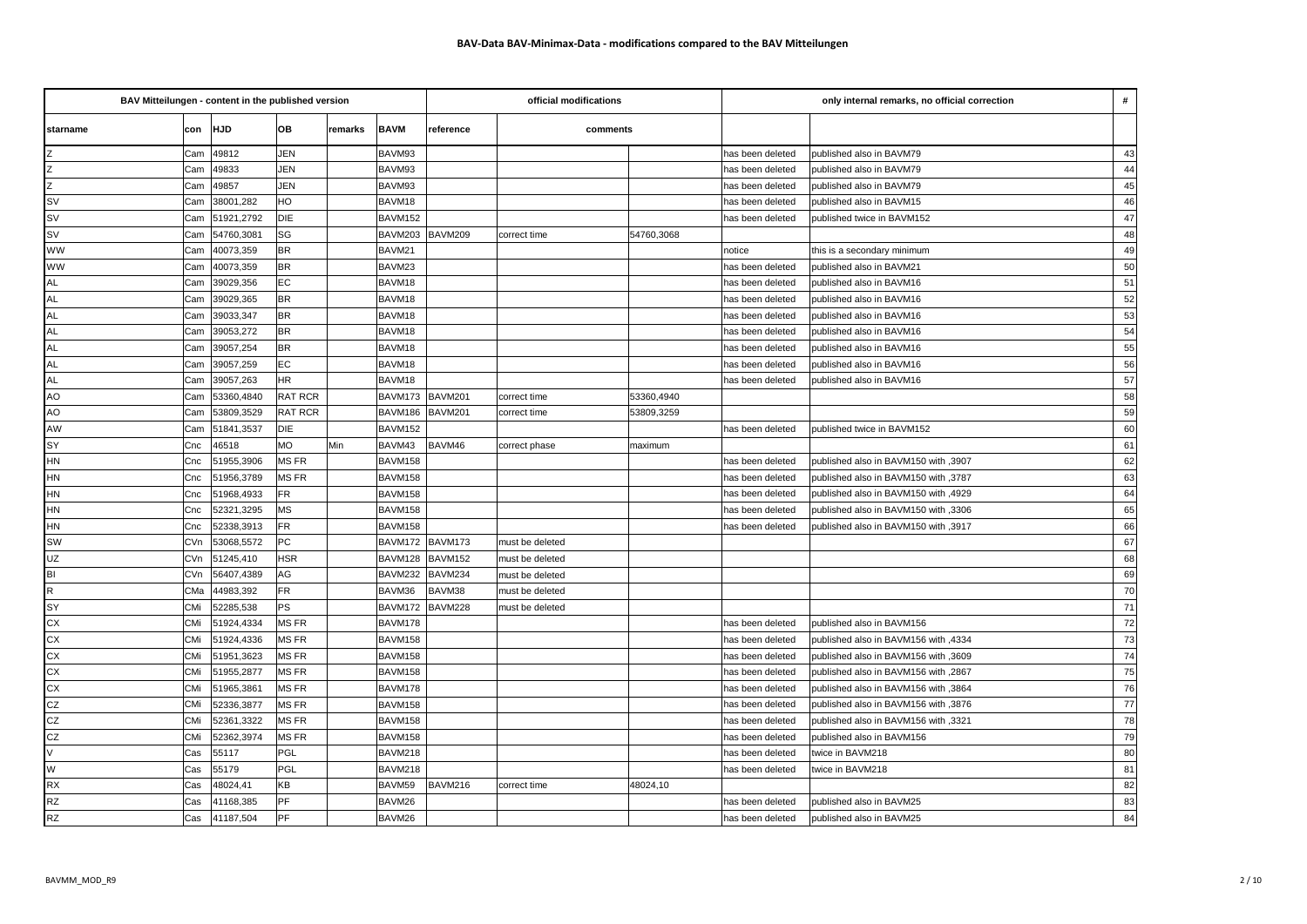| BAV Mitteilungen - content in the published version |                          |                |         |             |                | official modifications |            | only internal remarks, no official correction |                                      |                 |
|-----------------------------------------------------|--------------------------|----------------|---------|-------------|----------------|------------------------|------------|-----------------------------------------------|--------------------------------------|-----------------|
| starname                                            | con HJD                  | OB             | remarks | <b>BAVM</b> | reference      | comments               |            |                                               |                                      |                 |
| Z                                                   | 49812<br>Cam             | <b>JEN</b>     |         | BAVM93      |                |                        |            | has been deleted                              | published also in BAVM79             | 43              |
| Z                                                   | 49833<br>Cam             | <b>JEN</b>     |         | BAVM93      |                |                        |            | has been deleted                              | published also in BAVM79             | 44              |
| Z                                                   | 49857<br>Cam             | JEN            |         | BAVM93      |                |                        |            | has been deleted                              | published also in BAVM79             | 45              |
| <b>SV</b>                                           | 38001,282<br>Cam         | HO             |         | BAVM18      |                |                        |            | has been deleted                              | published also in BAVM15             | 46              |
| <b>SV</b>                                           | 51921,2792<br>Cam        | DIE            |         | BAVM152     |                |                        |            | has been deleted                              | published twice in BAVM152           | 47              |
| <b>SV</b>                                           | 54760,3081<br>Cam        | SG             |         | BAVM203     | BAVM209        | correct time           | 54760,3068 |                                               |                                      | 48              |
| <b>WW</b>                                           | 40073,359<br>Cam         | <b>BR</b>      |         | BAVM21      |                |                        |            | notice                                        | this is a secondary minimum          | 49              |
| WW                                                  | 40073,359<br>Cam         | <b>BR</b>      |         | BAVM23      |                |                        |            | has been deleted                              | published also in BAVM21             | 50              |
| <b>AL</b>                                           | 39029,356<br>Cam         | EC             |         | BAVM18      |                |                        |            | has been deleted                              | published also in BAVM16             | 51              |
| <b>AL</b>                                           | 39029,365<br>Cam         | <b>BR</b>      |         | BAVM18      |                |                        |            | has been deleted                              | published also in BAVM16             | 52              |
| <b>AL</b>                                           | 39033,347<br>Cam         | <b>BR</b>      |         | BAVM18      |                |                        |            | has been deleted                              | published also in BAVM16             | 53              |
| <b>AL</b>                                           | 39053,272<br>Cam         | <b>BR</b>      |         | BAVM18      |                |                        |            | has been deleted                              | published also in BAVM16             | 54              |
| <b>AL</b>                                           | 39057,254<br>Cam         | <b>BR</b>      |         | BAVM18      |                |                        |            | has been deleted                              | published also in BAVM16             | 55              |
| <b>AL</b>                                           | 39057,259<br>Cam         | EC             |         | BAVM18      |                |                        |            | has been deleted                              | published also in BAVM16             | 56              |
| <b>AL</b>                                           | 39057,263<br>Cam         | HR             |         | BAVM18      |                |                        |            | has been deleted                              | published also in BAVM16             | 57              |
| AO                                                  | 53360,4840<br>Cam        | RAT RCR        |         | BAVM173     | BAVM201        | correct time           | 53360,4940 |                                               |                                      | 58              |
| AO                                                  | 53809,3529<br>Cam        | <b>RAT RCR</b> |         | BAVM186     | <b>BAVM201</b> | correct time           | 53809,3259 |                                               |                                      | 59              |
| AW                                                  | 51841,3537<br>Cam        | DIE            |         | BAVM152     |                |                        |            | has been deleted                              | published twice in BAVM152           | 60              |
| SY                                                  | 46518<br>Cnc             | <b>MO</b>      | Min     | BAVM43      | BAVM46         | correct phase          | maximum    |                                               |                                      | 61              |
| HN                                                  | 51955,3906<br>Cnc        | MS FR          |         | BAVM158     |                |                        |            | has been deleted                              | published also in BAVM150 with ,3907 | 62              |
| HN                                                  | 51956,3789<br>Cnc        | MS FR          |         | BAVM158     |                |                        |            | has been deleted                              | published also in BAVM150 with ,3787 | 63              |
| <b>HN</b>                                           | 51968,4933<br>Cnc        | <b>FR</b>      |         | BAVM158     |                |                        |            | has been deleted                              | 4929, published also in BAVM150 with | 64              |
| <b>HN</b>                                           | 52321,3295<br>Cnc        | <b>MS</b>      |         | BAVM158     |                |                        |            | has been deleted                              | 9306, published also in BAVM150 with | 65              |
| <b>HN</b>                                           | 52338,3913<br>Cnc        | <b>FR</b>      |         | BAVM158     |                |                        |            | has been deleted                              | published also in BAVM150 with ,3917 | 66              |
| <b>SW</b>                                           | CVn<br>53068,5572        | PC             |         | BAVM172     | BAVM173        | must be deleted        |            |                                               |                                      | 67              |
| UZ                                                  | 51245,410<br>CVn         | <b>HSR</b>     |         | BAVM128     | BAVM152        | must be deleted        |            |                                               |                                      | 68              |
| BI                                                  | 56407,4389<br><b>CVn</b> | AG             |         | BAVM232     | BAVM234        | must be deleted        |            |                                               |                                      | 69              |
| $\mathsf{R}$                                        | CMa<br>44983,392         | <b>FR</b>      |         | BAVM36      | BAVM38         | must be deleted        |            |                                               |                                      | 70              |
| SY                                                  | CMi<br>52285,538         | PS             |         | BAVM172     | BAVM228        | must be deleted        |            |                                               |                                      | 71              |
| <b>CX</b>                                           | CMi<br>51924,4334        | MS FR          |         | BAVM178     |                |                        |            | has been deleted                              | published also in BAVM156            | 72              |
| <b>CX</b>                                           | CMi<br>51924,4336        | MS FR          |         | BAVM158     |                |                        |            | has been deleted                              | published also in BAVM156 with ,4334 | $\overline{73}$ |
| <b>CX</b>                                           | CMi<br>51951,3623        | MS FR          |         | BAVM158     |                |                        |            | has been deleted                              | published also in BAVM156 with ,3609 | 74              |
| <b>CX</b>                                           | CMi<br>51955,2877        | MS FR          |         | BAVM158     |                |                        |            | has been deleted                              | 2867, published also in BAVM156 with | 75              |
| <b>CX</b>                                           | CMi<br>51965,3861        | MS FR          |         | BAVM178     |                |                        |            | has been deleted                              | published also in BAVM156 with ,3864 | 76              |
| CZ                                                  | CMi<br>52336,3877        | MS FR          |         | BAVM158     |                |                        |            | has been deleted                              | 3876, published also in BAVM156 with | 77              |
| <b>CZ</b>                                           | 52361,3322<br>CMi        | MS FR          |         | BAVM158     |                |                        |            | has been deleted                              | published also in BAVM156 with ,3321 | 78              |
| CZ                                                  | CMi<br>52362,3974        | MS FR          |         | BAVM158     |                |                        |            | has been deleted                              | published also in BAVM156            | 79              |
| $\vee$                                              | 55117<br>Cas             | PGL            |         | BAVM218     |                |                        |            | has been deleted                              | twice in BAVM218                     | 80              |
| W                                                   | 55179<br>Cas             | PGL            |         | BAVM218     |                |                        |            | has been deleted                              | twice in BAVM218                     | 81              |
| <b>RX</b>                                           | 48024,41<br>Cas          | КB             |         | BAVM59      | BAVM216        | correct time           | 48024,10   |                                               |                                      | 82              |
| <b>RZ</b>                                           | Cas<br>41168,385         | PF             |         | BAVM26      |                |                        |            | has been deleted                              | published also in BAVM25             | 83              |
| <b>RZ</b>                                           | 41187,504<br>Cas         | PF             |         | BAVM26      |                |                        |            | has been deleted                              | published also in BAVM25             | 84              |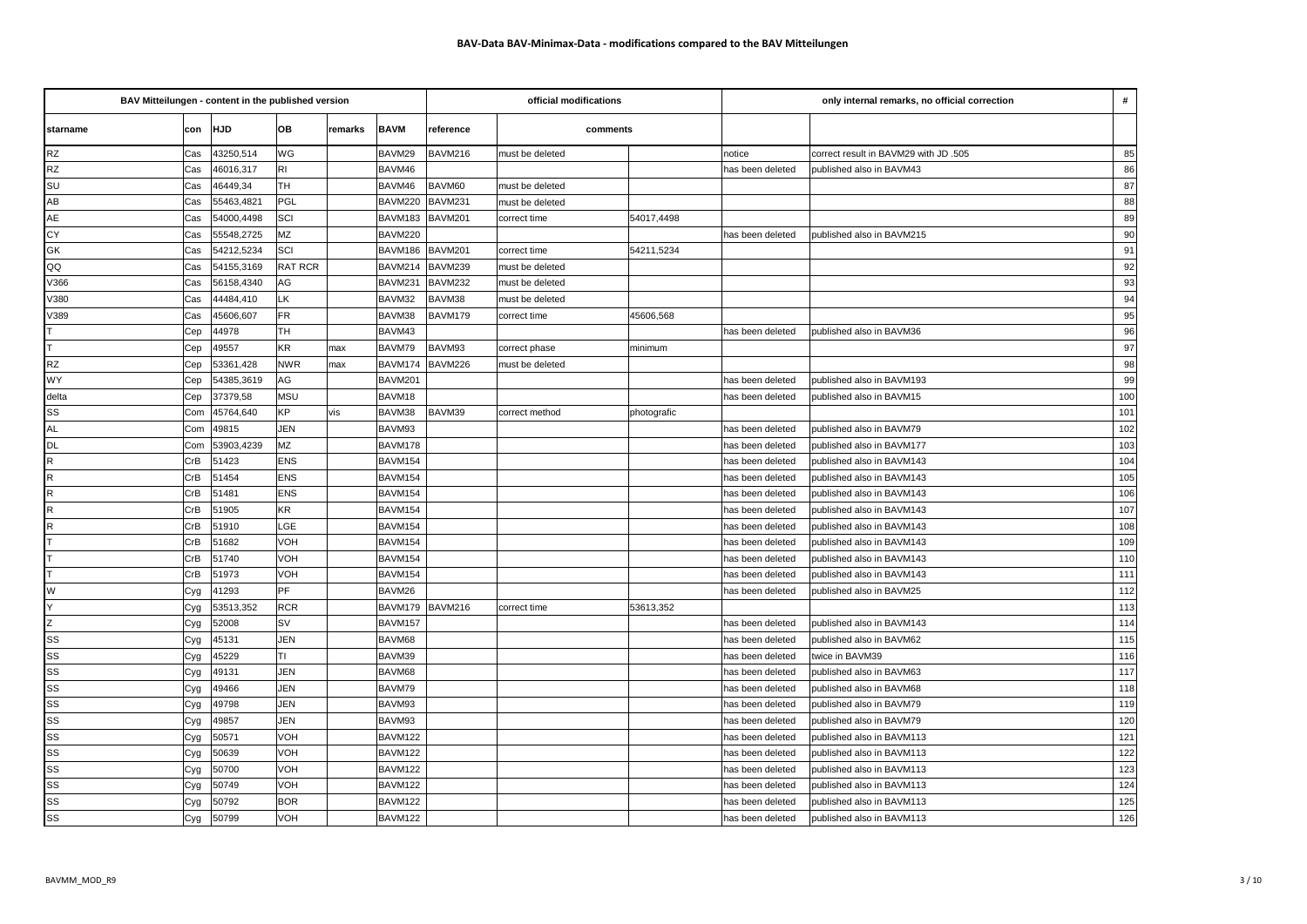| BAV Mitteilungen - content in the published version |         |            |                |         |             |                       | official modifications |             | only internal remarks, no official correction |                                       |                 |
|-----------------------------------------------------|---------|------------|----------------|---------|-------------|-----------------------|------------------------|-------------|-----------------------------------------------|---------------------------------------|-----------------|
| starname                                            | con HJD |            | OB             | remarks | <b>BAVM</b> | reference<br>comments |                        |             |                                               |                                       |                 |
| <b>RZ</b>                                           | Cas     | 43250,514  | WG             |         | BAVM29      | BAVM216               | must be deleted        |             | notice                                        | correct result in BAVM29 with JD .505 | 85              |
| <b>RZ</b>                                           | Cas     | 46016,317  | İRI            |         | BAVM46      |                       |                        |             | has been deleted                              | Ipublished also in BAVM43             | 86              |
| SU                                                  | Cas     | 46449,34   | <b>TH</b>      |         | BAVM46      | BAVM60                | must be deleted        |             |                                               |                                       | 87              |
| AB                                                  | Cas     | 55463,4821 | PGL            |         | BAVM220     | BAVM231               | must be deleted        |             |                                               |                                       | 88              |
| AE                                                  | Cas     | 54000,4498 | SCI            |         | BAVM183     | BAVM201               | correct time           | 54017,4498  |                                               |                                       | 89              |
| CY                                                  | Cas     | 55548,2725 | MZ             |         | BAVM220     |                       |                        |             | has been deleted                              | published also in BAVM215             | 90              |
| GK                                                  | Cas     | 54212,5234 | SCI            |         | BAVM186     | <b>BAVM201</b>        | correct time           | 54211,5234  |                                               |                                       | 91              |
| QQ                                                  | Cas     | 54155,3169 | <b>RAT RCR</b> |         | BAVM214     | BAVM239               | must be deleted        |             |                                               |                                       | 92              |
| V366                                                | Cas     | 56158,4340 | AG             |         | BAVM231     | BAVM232               | must be deleted        |             |                                               |                                       | 93              |
| V380                                                | Cas     | 44484,410  | LK             |         | BAVM32      | BAVM38                | must be deleted        |             |                                               |                                       | 94              |
| V389                                                | Cas     | 45606,607  | <b>FR</b>      |         | BAVM38      | BAVM179               | correct time           | 45606,568   |                                               |                                       | 95              |
|                                                     | Cep     | 44978      | <b>TH</b>      |         | BAVM43      |                       |                        |             | has been deleted                              | published also in BAVM36              | 96              |
| T                                                   | Cep     | 49557      | KR             | max     | BAVM79      | BAVM93                | correct phase          | minimum     |                                               |                                       | 97              |
| <b>RZ</b>                                           | Cep     | 53361,428  | <b>NWR</b>     | max     | BAVM174     | BAVM226               | must be deleted        |             |                                               |                                       | 98              |
| WY                                                  | Cep     | 54385,3619 | AG             |         | BAVM201     |                       |                        |             | has been deleted                              | published also in BAVM193             | 99              |
| delta                                               | Cep     | 37379,58   | <b>MSU</b>     |         | BAVM18      |                       |                        |             | has been deleted                              | published also in BAVM15              | 100             |
| SS                                                  | Com     | 45764,640  | KP             | vis     | BAVM38      | BAVM39                | correct method         | photografic |                                               |                                       | 101             |
| <b>AL</b>                                           | Com     | 49815      | <b>JEN</b>     |         | BAVM93      |                       |                        |             | has been deleted                              | published also in BAVM79              | 102             |
| <b>DL</b>                                           | Com     | 53903,4239 | <b>MZ</b>      |         | BAVM178     |                       |                        |             | has been deleted                              | published also in BAVM177             | 103             |
| $\mathsf R$                                         | CrB     | 51423      | <b>ENS</b>     |         | BAVM154     |                       |                        |             | has been deleted                              | published also in BAVM143             | 104             |
| $\mathsf{R}$                                        | CrB     | 51454      | <b>ENS</b>     |         | BAVM154     |                       |                        |             | has been deleted                              | published also in BAVM143             | 105             |
| $\mathsf{R}$                                        | CrB     | 51481      | <b>ENS</b>     |         | BAVM154     |                       |                        |             | has been deleted                              | published also in BAVM143             | 106             |
| $\mathsf{R}$                                        | CrB     | 51905      | KR             |         | BAVM154     |                       |                        |             | has been deleted                              | published also in BAVM143             | 107             |
| $\mathsf{R}$                                        | CrB     | 51910      | LGE            |         | BAVM154     |                       |                        |             | has been deleted                              | published also in BAVM143             | 108             |
|                                                     | CrB     | 51682      | VOH            |         | BAVM154     |                       |                        |             | has been deleted                              | published also in BAVM143             | 109             |
|                                                     | CrB     | 51740      | VOH            |         | BAVM154     |                       |                        |             | has been deleted                              | published also in BAVM143             | 110             |
|                                                     | CrB     | 51973      | VOH            |         | BAVM154     |                       |                        |             | has been deleted                              | published also in BAVM143             | 111             |
| W                                                   | Cyg     | 41293      | PF             |         | BAVM26      |                       |                        |             | has been deleted                              | published also in BAVM25              | 112             |
| Υ                                                   | Cyg     | 53513,352  | <b>RCR</b>     |         | BAVM179     | BAVM216               | correct time           | 53613,352   |                                               |                                       | 113             |
| Z                                                   | Cyg     | 52008      | <b>SV</b>      |         | BAVM157     |                       |                        |             | has been deleted                              | published also in BAVM143             | 114             |
| SS                                                  | Cyg     | 45131      | JEN            |         | BAVM68      |                       |                        |             | has been deleted                              | published also in BAVM62              | 115             |
| SS                                                  | Cyg     | 45229      | TI             |         | BAVM39      |                       |                        |             | has been deleted                              | twice in BAVM39                       | 116             |
| SS                                                  | Cyg     | 49131      | <b>JEN</b>     |         | BAVM68      |                       |                        |             | has been deleted                              | published also in BAVM63              | $\frac{1}{117}$ |
| SS                                                  | Cyg     | 49466      | JEN            |         | BAVM79      |                       |                        |             | has been deleted                              | published also in BAVM68              | 118             |
| SS                                                  | Cyg     | 49798      | <b>JEN</b>     |         | BAVM93      |                       |                        |             | has been deleted                              | published also in BAVM79              | 119             |
| SS                                                  | Cyg     | 49857      | JEN            |         | BAVM93      |                       |                        |             | has been deleted                              | published also in BAVM79              | 120             |
| SS                                                  | Cyg     | 50571      | VOH            |         | BAVM122     |                       |                        |             | has been deleted                              | published also in BAVM113             | 121             |
| SS                                                  | Cyg     | 50639      | VOH            |         | BAVM122     |                       |                        |             | has been deleted                              | published also in BAVM113             | 122             |
| SS                                                  | Cyg     | 50700      | VOH            |         | BAVM122     |                       |                        |             | has been deleted                              | published also in BAVM113             | 123             |
| SS                                                  | Cyg     | 50749      | VOH            |         | BAVM122     |                       |                        |             | has been deleted                              | published also in BAVM113             | 124             |
| SS                                                  | Cyg     | 50792      | <b>BOR</b>     |         | BAVM122     |                       |                        |             | has been deleted                              | published also in BAVM113             | 125             |
| SS                                                  | Cyg     | 50799      | VOH            |         | BAVM122     |                       |                        |             | has been deleted                              | published also in BAVM113             | 126             |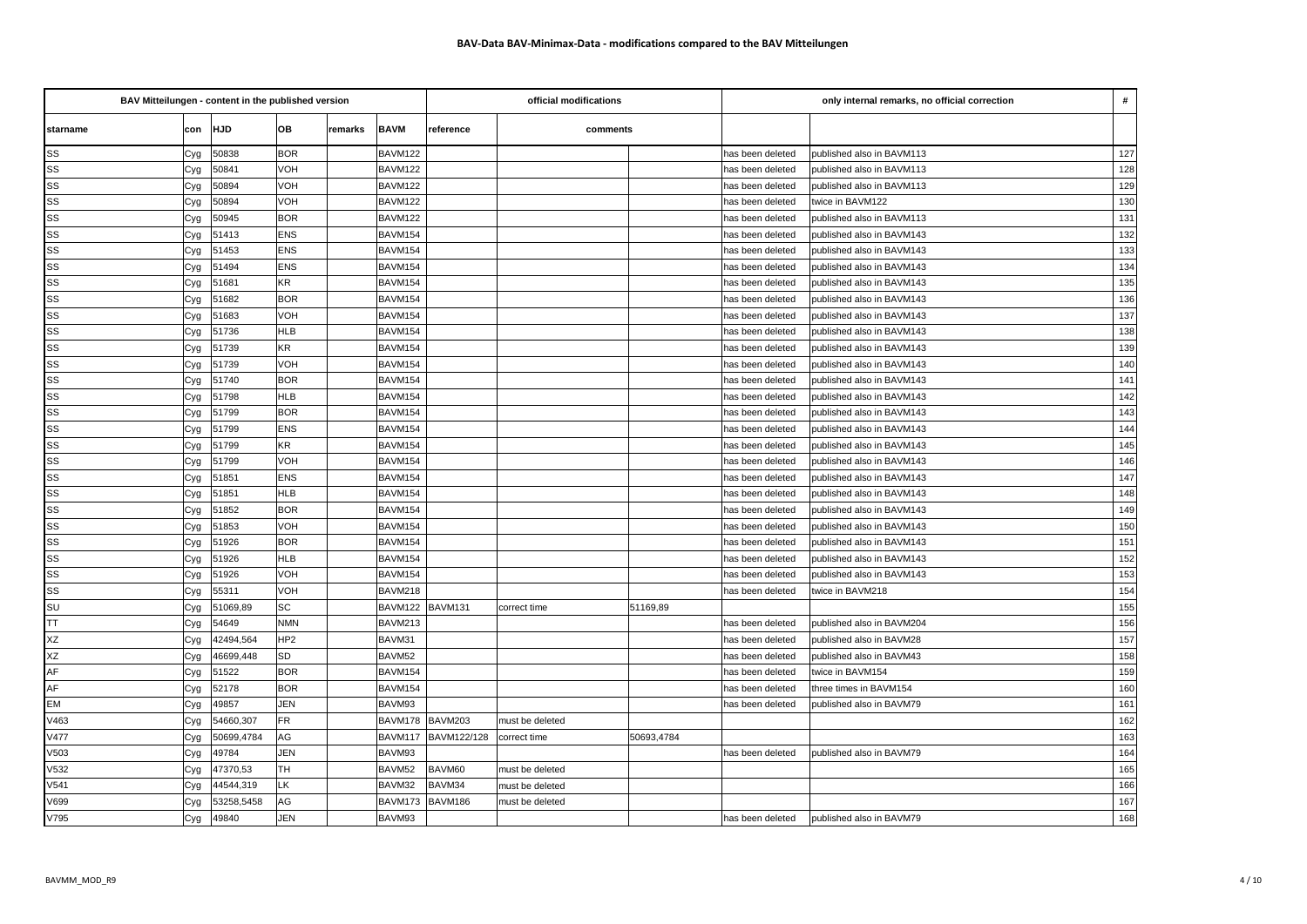| BAV Mitteilungen - content in the published version |     |            |                 |         |             | official modifications |                 | only internal remarks, no official correction |                  |                           |     |
|-----------------------------------------------------|-----|------------|-----------------|---------|-------------|------------------------|-----------------|-----------------------------------------------|------------------|---------------------------|-----|
| starname                                            |     | con HJD    | lов             | remarks | <b>BAVM</b> | reference              | comments        |                                               |                  |                           |     |
| SS                                                  | Cyg | 50838      | <b>BOR</b>      |         | BAVM122     |                        |                 |                                               | has been deleted | published also in BAVM113 | 127 |
| SS                                                  | Cyg | 50841      | VOH             |         | BAVM122     |                        |                 |                                               | has been deleted | published also in BAVM113 | 128 |
| SS                                                  | Cyg | 50894      | VOH             |         | BAVM122     |                        |                 |                                               | has been deleted | published also in BAVM113 | 129 |
| SS                                                  | Cyg | 50894      | VOH             |         | BAVM122     |                        |                 |                                               | has been deleted | twice in BAVM122          | 130 |
| SS                                                  | Cyg | 50945      | <b>BOR</b>      |         | BAVM122     |                        |                 |                                               | has been deleted | published also in BAVM113 | 131 |
| SS                                                  | Cyg | 51413      | <b>ENS</b>      |         | BAVM154     |                        |                 |                                               | has been deleted | published also in BAVM143 | 132 |
| SS                                                  | Cyg | 51453      | <b>ENS</b>      |         | BAVM154     |                        |                 |                                               | has been deleted | published also in BAVM143 | 133 |
| SS                                                  | Cyg | 51494      | <b>ENS</b>      |         | BAVM154     |                        |                 |                                               | has been deleted | published also in BAVM143 | 134 |
| SS                                                  | Cyg | 51681      | <b>KR</b>       |         | BAVM154     |                        |                 |                                               | has been deleted | published also in BAVM143 | 135 |
| SS                                                  | Cyg | 51682      | <b>BOR</b>      |         | BAVM154     |                        |                 |                                               | has been deleted | published also in BAVM143 | 136 |
| SS                                                  | Cyg | 51683      | VOH             |         | BAVM154     |                        |                 |                                               | has been deleted | published also in BAVM143 | 137 |
| SS                                                  | Cyg | 51736      | <b>HLB</b>      |         | BAVM154     |                        |                 |                                               | has been deleted | published also in BAVM143 | 138 |
| SS                                                  | Cyg | 51739      | KR              |         | BAVM154     |                        |                 |                                               | has been deleted | published also in BAVM143 | 139 |
| SS                                                  | Cyg | 51739      | VOH             |         | BAVM154     |                        |                 |                                               | has been deleted | published also in BAVM143 | 140 |
| SS                                                  | Cyg | 51740      | <b>BOR</b>      |         | BAVM154     |                        |                 |                                               | has been deleted | published also in BAVM143 | 141 |
| SS                                                  | Cyg | 51798      | <b>HLB</b>      |         | BAVM154     |                        |                 |                                               | has been deleted | published also in BAVM143 | 142 |
| SS                                                  | Cyg | 51799      | <b>BOR</b>      |         | BAVM154     |                        |                 |                                               | has been deleted | published also in BAVM143 | 143 |
| SS                                                  | Cyg | 51799      | <b>ENS</b>      |         | BAVM154     |                        |                 |                                               | has been deleted | published also in BAVM143 | 144 |
| SS                                                  | Cyg | 51799      | KR              |         | BAVM154     |                        |                 |                                               | has been deleted | published also in BAVM143 | 145 |
| SS                                                  | Cyg | 51799      | VOH             |         | BAVM154     |                        |                 |                                               | has been deleted | published also in BAVM143 | 146 |
| SS                                                  | Cyg | 51851      | <b>ENS</b>      |         | BAVM154     |                        |                 |                                               | has been deleted | published also in BAVM143 | 147 |
| SS                                                  | Cyg | 51851      | <b>HLB</b>      |         | BAVM154     |                        |                 |                                               | has been deleted | published also in BAVM143 | 148 |
| SS                                                  | Cyg | 51852      | <b>BOR</b>      |         | BAVM154     |                        |                 |                                               | has been deleted | published also in BAVM143 | 149 |
| SS                                                  | Cyg | 51853      | VOH             |         | BAVM154     |                        |                 |                                               | has been deleted | published also in BAVM143 | 150 |
| SS                                                  | Cyg | 51926      | <b>BOR</b>      |         | BAVM154     |                        |                 |                                               | has been deleted | published also in BAVM143 | 151 |
| SS                                                  | Cyg | 51926      | <b>HLB</b>      |         | BAVM154     |                        |                 |                                               | has been deleted | published also in BAVM143 | 152 |
| SS                                                  | Cyg | 51926      | VOH             |         | BAVM154     |                        |                 |                                               | has been deleted | published also in BAVM143 | 153 |
| SS                                                  | Cyg | 55311      | VOH             |         | BAVM218     |                        |                 |                                               | has been deleted | twice in BAVM218          | 154 |
| SU                                                  | Cyg | 51069,89   | SC              |         | BAVM122     | BAVM131                | correct time    | 51169,89                                      |                  |                           | 155 |
| <b>TT</b>                                           | Cyg | 54649      | <b>NMN</b>      |         | BAVM213     |                        |                 |                                               | has been deleted | published also in BAVM204 | 156 |
| ΧZ                                                  | Cyg | 42494,564  | HP <sub>2</sub> |         | BAVM31      |                        |                 |                                               | has been deleted | published also in BAVM28  | 157 |
| XZ                                                  | Cyg | 46699,448  | <b>SD</b>       |         | BAVM52      |                        |                 |                                               | has been deleted | published also in BAVM43  | 158 |
| AF                                                  | Cyg | 51522      | <b>BOR</b>      |         | BAVM154     |                        |                 |                                               | has been deleted | twice in BAVM154          | 159 |
| AF                                                  | Cyg | 52178      | <b>BOR</b>      |         | BAVM154     |                        |                 |                                               | has been deleted | three times in BAVM154    | 160 |
| EM                                                  | Cyg | 49857      | JEN             |         | BAVM93      |                        |                 |                                               | has been deleted | published also in BAVM79  | 161 |
| V463                                                | Cyg | 54660,307  | <b>FR</b>       |         | BAVM178     | BAVM203                | must be deleted |                                               |                  |                           | 162 |
| V477                                                | Cyg | 50699,4784 | AG              |         | BAVM117     | BAVM122/128            | correct time    | 50693,4784                                    |                  |                           | 163 |
| V503                                                | Cyg | 49784      | JEN             |         | BAVM93      |                        |                 |                                               | has been deleted | published also in BAVM79  | 164 |
| V532                                                | Cyg | 47370,53   | TH.             |         | BAVM52      | BAVM60                 | must be deleted |                                               |                  |                           | 165 |
| V541                                                | Cyg | 44544,319  | LK              |         | BAVM32      | BAVM34                 | must be deleted |                                               |                  |                           | 166 |
| V699                                                | Cyg | 53258,5458 | AG              |         | BAVM173     | BAVM186                | must be deleted |                                               |                  |                           | 167 |
| V795                                                | Cyg | 49840      | JEN             |         | BAVM93      |                        |                 |                                               | has been deleted | published also in BAVM79  | 168 |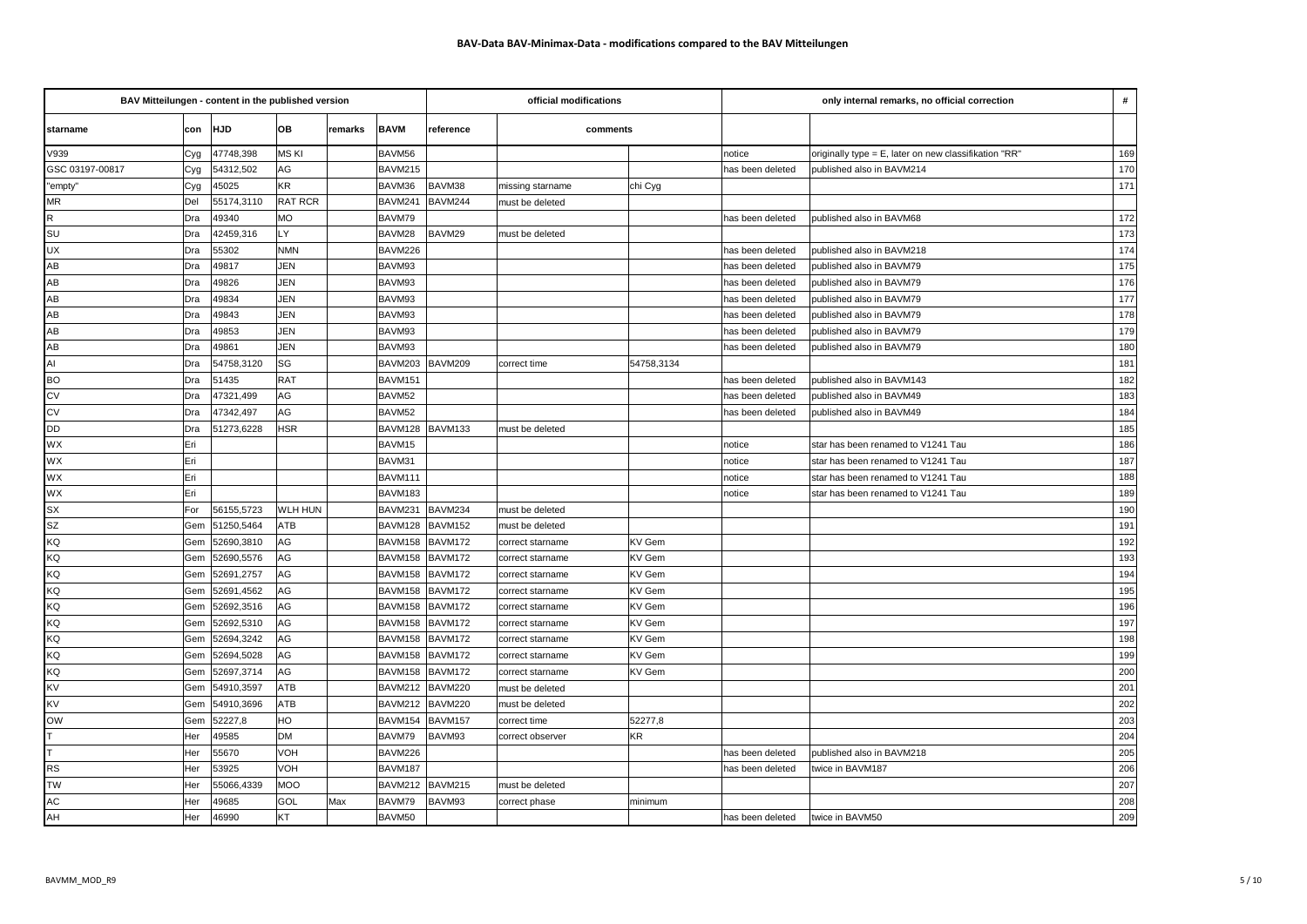| BAV Mitteilungen - content in the published version |     |            |            |         | official modifications |           |                  | only internal remarks, no official correction |                  |                                                       |     |
|-----------------------------------------------------|-----|------------|------------|---------|------------------------|-----------|------------------|-----------------------------------------------|------------------|-------------------------------------------------------|-----|
| starname                                            | con | <b>HJD</b> | OВ         | remarks | <b>BAVM</b>            | reference | comments         |                                               |                  |                                                       |     |
| V939                                                | Cyg | 47748,398  | MS KI      |         | BAVM56                 |           |                  |                                               | notice           | originally type = E, later on new classifikation "RR" | 169 |
| GSC 03197-00817                                     | Cyg | 54312,502  | AG         |         | BAVM215                |           |                  |                                               | has been deleted | published also in BAVM214                             | 170 |
| "empty"                                             | Cyg | 45025      | KR         |         | BAVM36                 | BAVM38    | missing starname | chi Cyg                                       |                  |                                                       | 171 |
| MR                                                  | Del | 55174,3110 | RAT RCR    |         | BAVM241                | BAVM244   | must be deleted  |                                               |                  |                                                       |     |
| ${\sf R}$                                           | Dra | 49340      | <b>MO</b>  |         | BAVM79                 |           |                  |                                               | as been deleted  | published also in BAVM68                              | 172 |
| SU                                                  | Dra | 42459,316  | LY         |         | BAVM28                 | BAVM29    | must be deleted  |                                               |                  |                                                       | 173 |
| <b>UX</b>                                           | Dra | 55302      | <b>NMN</b> |         | BAVM226                |           |                  |                                               | as been deleted  | published also in BAVM218                             | 174 |
| AB                                                  | Dra | 49817      | JEN        |         | BAVM93                 |           |                  |                                               | as been deleted  | published also in BAVM79                              | 175 |
| AB                                                  | Dra | 49826      | JEN        |         | BAVM93                 |           |                  |                                               | as been deleted  | published also in BAVM79                              | 176 |
| AB                                                  | Dra | 49834      | JEN        |         | BAVM93                 |           |                  |                                               | as been deleted  | published also in BAVM79                              | 177 |
| AB                                                  | Dra | 49843      | JEN        |         | BAVM93                 |           |                  |                                               | as been deleted  | published also in BAVM79                              | 178 |
| AB                                                  | Dra | 49853      | JEN        |         | BAVM93                 |           |                  |                                               | as been deleted  | published also in BAVM79                              | 179 |
| AB                                                  | Dra | 49861      | JEN        |         | BAVM93                 |           |                  |                                               | as been deleted  | published also in BAVM79                              | 180 |
| $\overline{A}$                                      | Dra | 54758,3120 | SG         |         | BAVM203                | BAVM209   | correct time     | 54758,3134                                    |                  |                                                       | 181 |
| <b>BO</b>                                           | Dra | 51435      | <b>RAT</b> |         | BAVM151                |           |                  |                                               | as been deleted  | published also in BAVM143                             | 182 |
| CV                                                  | Dra | 47321,499  | AG         |         | BAVM52                 |           |                  |                                               | has been deleted | published also in BAVM49                              | 183 |
| $\overline{\text{cv}}$                              | Dra | 47342,497  | AG         |         | BAVM52                 |           |                  |                                               | as been deleted  | published also in BAVM49                              | 184 |
| <b>DD</b>                                           | Dra | 51273,6228 | <b>HSR</b> |         | BAVM128                | BAVM133   | must be deleted  |                                               |                  |                                                       | 185 |
| WX                                                  | Eri |            |            |         | BAVM15                 |           |                  |                                               | notice           | star has been renamed to V1241 Tau                    | 186 |
| WX                                                  | Eri |            |            |         | BAVM31                 |           |                  |                                               | าotice           | star has been renamed to V1241 Tau                    | 187 |
| WX                                                  | Eri |            |            |         | BAVM111                |           |                  |                                               | hotice           | star has been renamed to V1241 Tau                    | 188 |
| WX                                                  | Eri |            |            |         | BAVM183                |           |                  |                                               | าotice           | star has been renamed to V1241 Tau                    | 189 |
| SX                                                  | For | 56155,5723 | WLH HUN    |         | BAVM231                | BAVM234   | must be deleted  |                                               |                  |                                                       | 190 |
| $\overline{\text{sz}}$                              | Gem | 51250,5464 | ATB        |         | BAVM128                | BAVM152   | must be deleted  |                                               |                  |                                                       | 191 |
| <b>KQ</b>                                           | Gem | 52690,3810 | AG         |         | BAVM158                | BAVM172   | correct starname | KV Gem                                        |                  |                                                       | 192 |
| KQ                                                  | Gem | 52690,5576 | AG         |         | BAVM158                | BAVM172   | correct starname | KV Gem                                        |                  |                                                       | 193 |
| <b>KQ</b>                                           | Gem | 52691,2757 | AG         |         | BAVM158                | BAVM172   | correct starname | KV Gem                                        |                  |                                                       | 194 |
| KQ                                                  | Gem | 52691,4562 | AG         |         | BAVM158                | BAVM172   | correct starname | KV Gem                                        |                  |                                                       | 195 |
| <b>KQ</b>                                           | Gem | 52692,3516 | AG         |         | BAVM158                | BAVM172   | correct starname | KV Gem                                        |                  |                                                       | 196 |
| <b>KQ</b>                                           | Gem | 52692,5310 | AG         |         | BAVM158                | BAVM172   | correct starname | KV Gem                                        |                  |                                                       | 197 |
| <b>KQ</b>                                           | Gem | 52694,3242 | AG         |         | BAVM158                | BAVM172   | correct starname | KV Gem                                        |                  |                                                       | 198 |
| <b>KQ</b>                                           | Gem | 52694,5028 | AG         |         | BAVM158                | BAVM172   | correct starname | KV Gem                                        |                  |                                                       | 199 |
| <b>KQ</b>                                           | Gem | 52697,3714 | AG         |         | BAVM158                | BAVM172   | correct starname | KV Gem                                        |                  |                                                       | 200 |
| <b>KV</b>                                           | Gem | 54910,3597 | ATB        |         | BAVM212                | BAVM220   | nust be deleted  |                                               |                  |                                                       | 201 |
| <b>KV</b>                                           | Gem | 54910,3696 | ATB        |         | <b>BAVM212</b>         | BAVM220   | must be deleted  |                                               |                  |                                                       | 202 |
| <b>OW</b>                                           | Gem | 52227,8    | HO         |         | BAVM154                | BAVM157   | correct time     | 52277,8                                       |                  |                                                       | 203 |
| lT.                                                 | Her | 49585      | <b>DM</b>  |         | BAVM79                 | BAVM93    | correct observer | KR                                            |                  |                                                       | 204 |
| T                                                   | Her | 55670      | VOH        |         | BAVM226                |           |                  |                                               | as been deleted  | published also in BAVM218                             | 205 |
| <b>RS</b>                                           | Her | 53925      | VOH        |         | BAVM187                |           |                  |                                               | าas been deleted | twice in BAVM187                                      | 206 |
| <b>TW</b>                                           | Her | 55066,4339 | <b>MOO</b> |         | BAVM212                | BAVM215   | must be deleted  |                                               |                  |                                                       | 207 |
| AC                                                  | Her | 49685      | GOL        | Max     | BAVM79                 | BAVM93    | correct phase    | minimum                                       |                  |                                                       | 208 |
| AH                                                  | Her | 46990      | КT         |         | BAVM50                 |           |                  |                                               | has been deleted | twice in BAVM50                                       | 209 |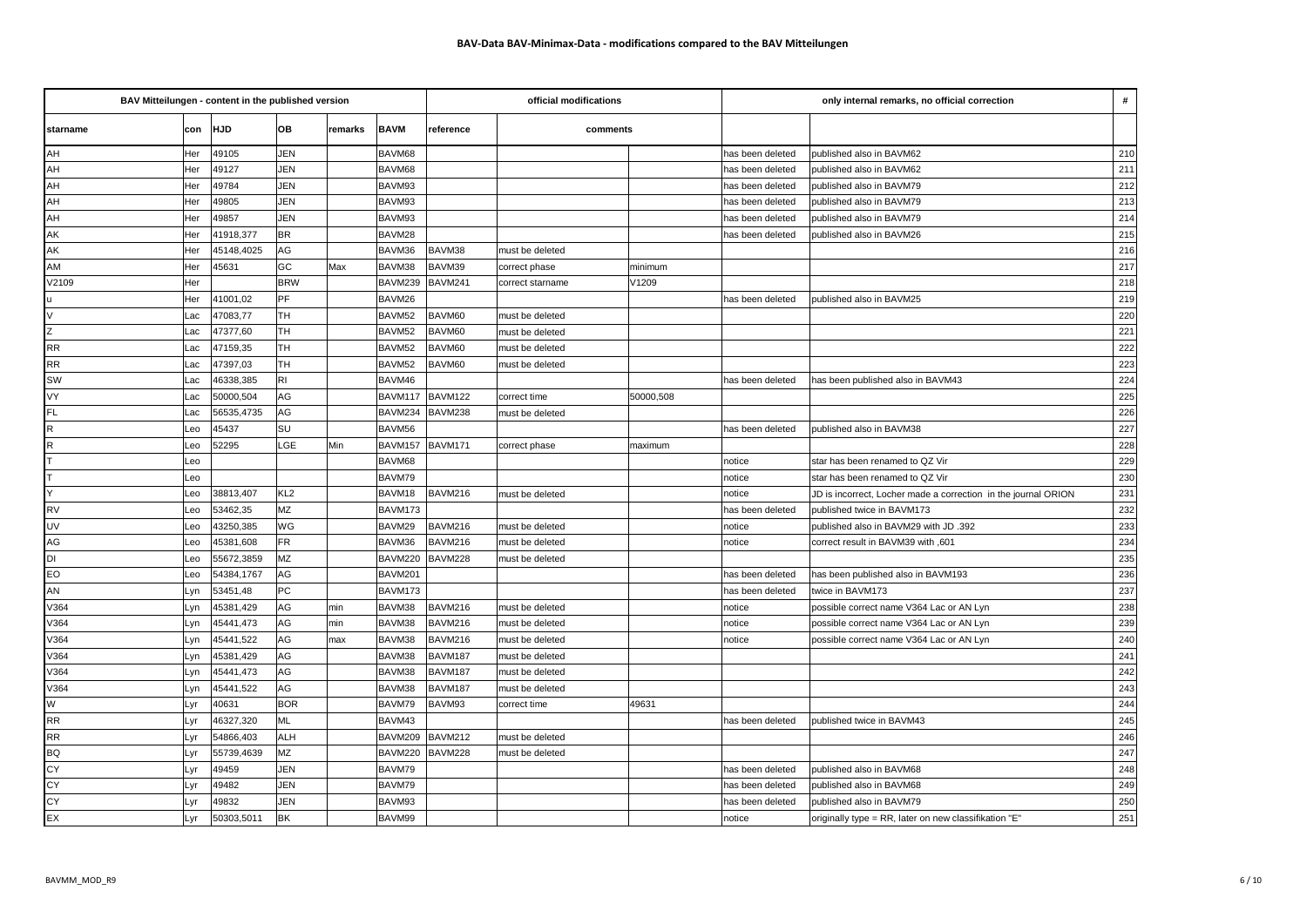| BAV Mitteilungen - content in the published version |     |            |                 |         |             | official modifications |                  | only internal remarks, no official correction |                  |                                                                |                  |
|-----------------------------------------------------|-----|------------|-----------------|---------|-------------|------------------------|------------------|-----------------------------------------------|------------------|----------------------------------------------------------------|------------------|
| starname                                            | con | <b>HJD</b> | OВ              | remarks | <b>BAVM</b> | reference              | comments         |                                               |                  |                                                                |                  |
| AH                                                  | Her | 49105      | JEN             |         | BAVM68      |                        |                  |                                               | has been deleted | published also in BAVM62                                       | 210              |
| AH                                                  | Her | 49127      | JEN             |         | BAVM68      |                        |                  |                                               | has been deleted | published also in BAVM62                                       | 211              |
| AH                                                  | Her | 49784      | JEN             |         | BAVM93      |                        |                  |                                               | has been deleted | published also in BAVM79                                       | 212              |
| AH                                                  | Her | 49805      | JEN             |         | BAVM93      |                        |                  |                                               | has been deleted | published also in BAVM79                                       | 213              |
| AH                                                  | Her | 49857      | JEN             |         | BAVM93      |                        |                  |                                               | has been deleted | published also in BAVM79                                       | 214              |
| AK                                                  | Her | 41918,377  | <b>BR</b>       |         | BAVM28      |                        |                  |                                               | has been deleted | published also in BAVM26                                       | 215              |
| AK                                                  | Her | 45148,4025 | AG              |         | BAVM36      | BAVM38                 | must be deleted  |                                               |                  |                                                                | 216              |
| AM                                                  | Her | 45631      | GC              | Max     | BAVM38      | BAVM39                 | correct phase    | minimum                                       |                  |                                                                | 217              |
| V2109                                               | Her |            | <b>BRW</b>      |         | BAVM239     | BAVM241                | correct starname | V1209                                         |                  |                                                                | 218              |
| u                                                   | Her | 41001,02   | PF              |         | BAVM26      |                        |                  |                                               | has been deleted | published also in BAVM25                                       | 219              |
| $\overline{\vee}$                                   | Lac | 47083,77   | TH              |         | BAVM52      | BAVM60                 | must be deleted  |                                               |                  |                                                                | 220              |
| z                                                   | Lac | 47377,60   | TН              |         | BAVM52      | BAVM60                 | must be deleted  |                                               |                  |                                                                | 221              |
| $\overline{RR}$                                     | Lac | 47159,35   | TH              |         | BAVM52      | BAVM60                 | must be deleted  |                                               |                  |                                                                | 222              |
| <b>RR</b>                                           | Lac | 47397,03   | TH              |         | BAVM52      | BAVM60                 | must be deleted  |                                               |                  |                                                                | $\overline{223}$ |
| SW                                                  | Lac | 46338,385  | RI              |         | BAVM46      |                        |                  |                                               | has been deleted | has been published also in BAVM43                              | 224              |
| VY                                                  | Lac | 50000,504  | AG              |         | BAVM117     | BAVM122                | correct time     | 50000.508                                     |                  |                                                                | 225              |
| <b>FL</b>                                           | Lac | 56535,4735 | AG              |         | BAVM234     | BAVM238                | must be deleted  |                                               |                  |                                                                | 226              |
| ${\sf R}$                                           | Leo | 45437      | SU              |         | BAVM56      |                        |                  |                                               | has been deleted | published also in BAVM38                                       | 227              |
| $\sf R$                                             | Leo | 52295      | LGE             | Min     | BAVM157     | BAVM171                | correct phase    | maximum                                       |                  |                                                                | 228              |
| lτ                                                  | Leo |            |                 |         | BAVM68      |                        |                  |                                               | notice           | star has been renamed to QZ Vir                                | 229              |
| $\overline{\mathsf{T}}$                             | Leo |            |                 |         | BAVM79      |                        |                  |                                               | notice           | star has been renamed to QZ Vir                                | 230              |
| Y                                                   | Leo | 38813,407  | KL <sub>2</sub> |         | BAVM18      | BAVM216                | must be deleted  |                                               | notice           | JD is incorrect, Locher made a correction in the journal ORION | 231              |
| <b>RV</b>                                           | Leo | 53462,35   | <b>MZ</b>       |         | BAVM173     |                        |                  |                                               | has been deleted | published twice in BAVM173                                     | 232              |
| UV                                                  | Leo | 43250,385  | WG              |         | BAVM29      | BAVM216                | must be deleted  |                                               | notice           | published also in BAVM29 with JD .392                          | 233              |
| AG                                                  | Leo | 45381,608  | FR              |         | BAVM36      | BAVM216                | must be deleted  |                                               | notice           | correct result in BAVM39 with ,601                             | 234              |
| DI                                                  | Leo | 55672,3859 | MZ              |         | BAVM220     | BAVM228                | must be deleted  |                                               |                  |                                                                | 235              |
| <b>EO</b>                                           | Leo | 54384,1767 | AG              |         | BAVM201     |                        |                  |                                               | has been deleted | has been published also in BAVM193                             | 236              |
| AN                                                  | Lyn | 53451,48   | PС              |         | BAVM173     |                        |                  |                                               | has been deleted | twice in BAVM173                                               | 237              |
| V364                                                | Lyn | 45381,429  | AG              | min     | BAVM38      | BAVM216                | must be deleted  |                                               | notice           | possible correct name V364 Lac or AN Lyn                       | 238              |
| V364                                                | Lyn | 45441,473  | AG              | min     | BAVM38      | BAVM216                | must be deleted  |                                               | notice           | possible correct name V364 Lac or AN Lyn                       | 239              |
| V364                                                | Lyn | 45441,522  | AG              | max     | BAVM38      | BAVM216                | must be deleted  |                                               | notice           | possible correct name V364 Lac or AN Lyn                       | 240              |
| V364                                                | Lyn | 45381,429  | AG              |         | BAVM38      | BAVM187                | must be deleted  |                                               |                  |                                                                | 241              |
| V364                                                | Lyn | 45441,473  | AG              |         | BAVM38      | BAVM187                | must be deleted  |                                               |                  |                                                                | 242              |
| V364                                                | Lyn | 45441,522  | AG              |         | BAVM38      | BAVM187                | must be deleted  |                                               |                  |                                                                | 243              |
| W                                                   | Lyr | 40631      | <b>BOR</b>      |         | BAVM79      | BAVM93                 | correct time     | 49631                                         |                  |                                                                | 244              |
| <b>RR</b>                                           | Lyr | 46327,320  | ML              |         | BAVM43      |                        |                  |                                               | has been deleted | published twice in BAVM43                                      | 245              |
| <b>RR</b>                                           | Lyr | 54866,403  | <b>ALH</b>      |         | BAVM209     | BAVM212                | must be deleted  |                                               |                  |                                                                | 246              |
| <b>BQ</b>                                           | Lyr | 55739,4639 | MZ              |         | BAVM220     | BAVM228                | must be deleted  |                                               |                  |                                                                | 247              |
| CY                                                  | Lyr | 49459      | JEN             |         | BAVM79      |                        |                  |                                               | has been deleted | published also in BAVM68                                       | 248              |
| CY                                                  | Lyr | 49482      | JEN             |         | BAVM79      |                        |                  |                                               | has been deleted | published also in BAVM68                                       | 249              |
| CY                                                  | Lyr | 49832      | JEN             |         | BAVM93      |                        |                  |                                               | has been deleted | published also in BAVM79                                       | 250              |
| EX                                                  | Lyr | 50303,5011 | BK              |         | BAVM99      |                        |                  |                                               | notice           | originally type = RR, later on new classifikation "E"          | 251              |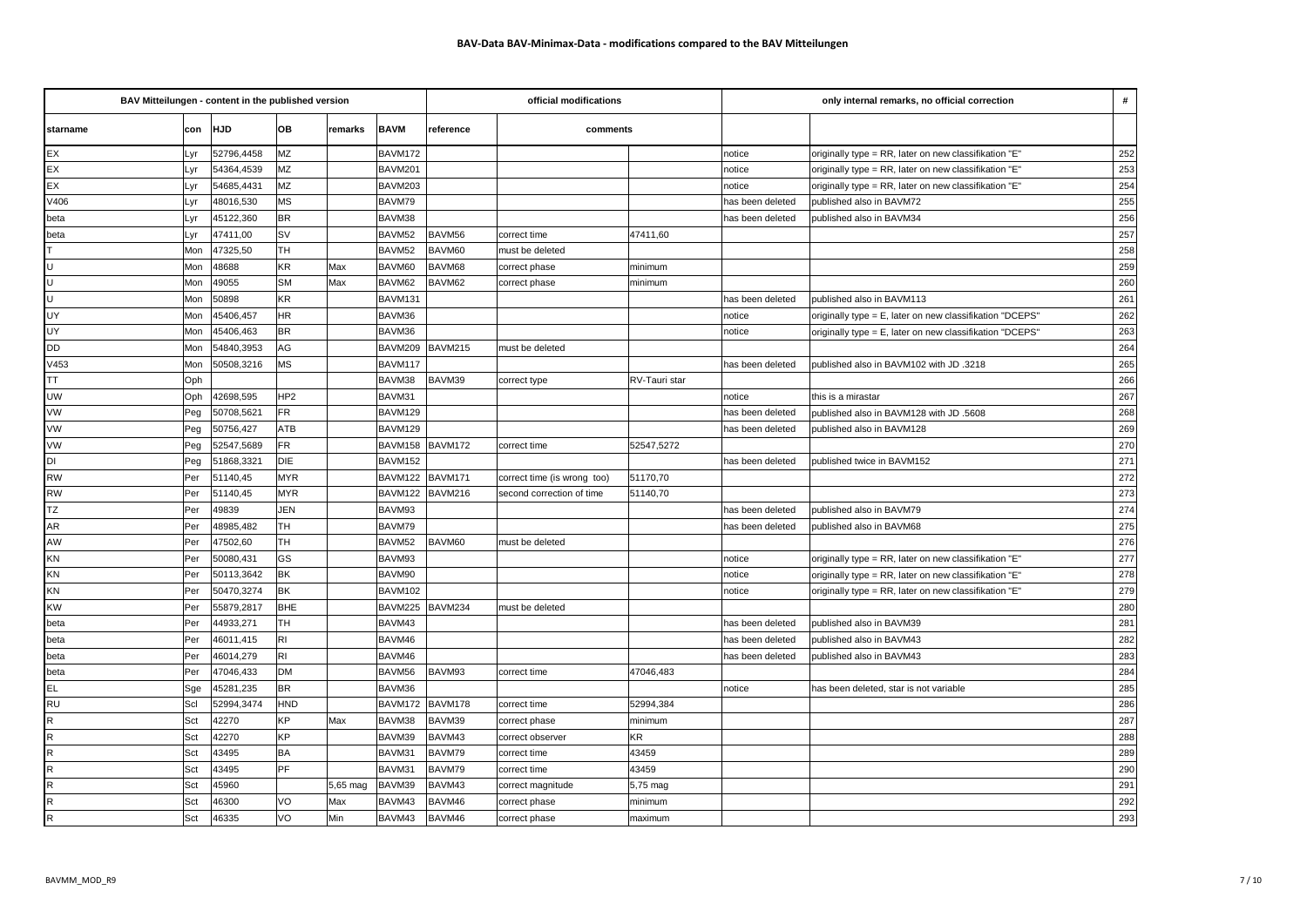| BAV Mitteilungen - content in the published version |     |            |                 |            | official modifications |                |                             | only internal remarks, no official correction |                  |                                                          |     |
|-----------------------------------------------------|-----|------------|-----------------|------------|------------------------|----------------|-----------------------------|-----------------------------------------------|------------------|----------------------------------------------------------|-----|
| starname                                            | con | <b>HJD</b> | OВ              | remarks    | <b>BAVM</b>            | reference      | comments                    |                                               |                  |                                                          |     |
| EX                                                  | Lyr | 52796,4458 | MZ              |            | BAVM172                |                |                             |                                               | notice           | originally type = RR, later on new classifikation "E"    | 252 |
| EX                                                  | Lyr | 54364,4539 | MZ              |            | BAVM201                |                |                             |                                               | notice           | originally type = RR, later on new classifikation "E"    | 253 |
| EX                                                  | Lyr | 54685,4431 | MZ              |            | BAVM203                |                |                             |                                               | otice            | originally type = RR, later on new classifikation "E"    | 254 |
| V406                                                | ∟yr | 48016,530  | <b>MS</b>       |            | BAVM79                 |                |                             |                                               | as been deleted  | published also in BAVM72                                 | 255 |
| beta                                                | Lyr | 45122,360  | <b>BR</b>       |            | BAVM38                 |                |                             |                                               | าas been deleted | published also in BAVM34                                 | 256 |
| beta                                                | Lyr | 47411,00   | <b>SV</b>       |            | BAVM52                 | BAVM56         | correct time                | 47411,60                                      |                  |                                                          | 257 |
| lτ                                                  | Mon | 47325,50   | TH              |            | BAVM <sub>52</sub>     | BAVM60         | must be deleted             |                                               |                  |                                                          | 258 |
| U                                                   | Mon | 48688      | KR              | Max        | BAVM60                 | BAVM68         | correct phase               | minimum                                       |                  |                                                          | 259 |
| $\overline{U}$                                      | Mon | 49055      | <b>SM</b>       | <b>Max</b> | BAVM62                 | BAVM62         | correct phase               | minimum                                       |                  |                                                          | 260 |
| $\overline{U}$                                      | Mon | 50898      | KR              |            | BAVM131                |                |                             |                                               | has been deleted | published also in BAVM113                                | 261 |
| UY                                                  | Mon | 45406,457  | HR              |            | BAVM36                 |                |                             |                                               | hotice           | originally type = E, later on new classifikation "DCEPS' | 262 |
| UY                                                  | Mon | 45406,463  | <b>BR</b>       |            | BAVM36                 |                |                             |                                               | notice           | originally type = E, later on new classifikation "DCEPS" | 263 |
| <b>DD</b>                                           | Mon | 54840,3953 | AG              |            | BAVM209                | <b>BAVM215</b> | must be deleted             |                                               |                  |                                                          | 264 |
| V453                                                | Mon | 50508,3216 | <b>MS</b>       |            | BAVM117                |                |                             |                                               | as been deleted  | published also in BAVM102 with JD .3218                  | 265 |
| <b>TT</b>                                           | Oph |            |                 |            | BAVM38                 | BAVM39         | correct type                | RV-Tauri star                                 |                  |                                                          | 266 |
| <b>UW</b>                                           | Oph | 42698,595  | HP <sub>2</sub> |            | BAVM31                 |                |                             |                                               | notice           | this is a mirastar                                       | 267 |
| <b>VW</b>                                           | Peg | 50708,5621 | FR              |            | BAVM129                |                |                             |                                               | as been deleted  | 5608. published also in BAVM128 with JD                  | 268 |
| <b>VW</b>                                           | Peg | 50756,427  | ATB             |            | BAVM129                |                |                             |                                               | as been deleted  | published also in BAVM128                                | 269 |
| <b>VW</b>                                           | Peg | 52547,5689 | FR              |            | BAVM158                | BAVM172        | correct time                | 52547,5272                                    |                  |                                                          | 270 |
| DI                                                  | Peg | 51868,3321 | DIE             |            | BAVM152                |                |                             |                                               | as been deleted  | published twice in BAVM152                               | 271 |
| <b>RW</b>                                           | Per | 51140,45   | <b>MYR</b>      |            | BAVM122                | BAVM171        | correct time (is wrong too) | 51170,70                                      |                  |                                                          | 272 |
| <b>RW</b>                                           | Per | 51140,45   | <b>MYR</b>      |            | BAVM122                | BAVM216        | second correction of time   | 51140,70                                      |                  |                                                          | 273 |
| <b>TZ</b>                                           | Per | 49839      | <b>JEN</b>      |            | BAVM93                 |                |                             |                                               | as been deleted  | published also in BAVM79                                 | 274 |
| AR                                                  | Per | 48985,482  | TH              |            | BAVM79                 |                |                             |                                               | has been deleted | published also in BAVM68                                 | 275 |
| AW                                                  | Per | 47502,60   | TH              |            | BAVM52                 | BAVM60         | must be deleted             |                                               |                  |                                                          | 276 |
| KN                                                  | Per | 50080,431  | GS              |            | BAVM93                 |                |                             |                                               | notice           | originally type = RR, later on new classifikation "E"    | 277 |
| KN                                                  | Per | 50113,3642 | BK              |            | BAVM90                 |                |                             |                                               | notice           | originally type = RR, later on new classifikation "E"    | 278 |
| KN                                                  | Per | 50470,3274 | BK              |            | BAVM102                |                |                             |                                               | hotice           | originally type = RR, later on new classifikation "E"    | 279 |
| <b>KW</b>                                           | Per | 55879,2817 | <b>BHE</b>      |            | BAVM225                | BAVM234        | must be deleted             |                                               |                  |                                                          | 280 |
| beta                                                | Per | 44933,271  | TH              |            | BAVM43                 |                |                             |                                               | has been deleted | published also in BAVM39                                 | 281 |
| beta                                                | Per | 46011,415  | RI              |            | BAVM46                 |                |                             |                                               | as been deleted  | published also in BAVM43                                 | 282 |
| beta                                                | Per | 46014,279  | RI.             |            | BAVM46                 |                |                             |                                               | as been deleted  | published also in BAVM43                                 | 283 |
| beta                                                | Per | 47046,433  | <b>DM</b>       |            | BAVM56                 | BAVM93         | correct time                | 47046,483                                     |                  |                                                          | 284 |
| EL                                                  | Sge | 45281,235  | <b>BR</b>       |            | BAVM36                 |                |                             |                                               | notice           | has been deleted, star is not variable                   | 285 |
| RU                                                  | Scl | 52994,3474 | HND             |            | BAVM172                | BAVM178        | correct time                | 52994,384                                     |                  |                                                          | 286 |
| $\mathsf R$                                         | Sct | 42270      | КP              | Max        | BAVM38                 | BAVM39         | correct phase               | minimum                                       |                  |                                                          | 287 |
| $\mathsf R$                                         | Sct | 42270      | KP              |            | BAVM39                 | BAVM43         | correct observer            | KR                                            |                  |                                                          | 288 |
| $\overline{R}$                                      | Sct | 43495      | BA              |            | BAVM31                 | BAVM79         | correct time                | 43459                                         |                  |                                                          | 289 |
| $\overline{R}$                                      | Sct | 43495      | PF              |            | BAVM31                 | BAVM79         | correct time                | 43459                                         |                  |                                                          | 290 |
| $\mathsf R$                                         | Sct | 45960      |                 | 5,65 mag   | BAVM39                 | BAVM43         | correct magnitude           | 5,75 mag                                      |                  |                                                          | 291 |
| $\overline{R}$                                      | Sct | 46300      | VO              | Max        | BAVM43                 | BAVM46         | correct phase               | minimum                                       |                  |                                                          | 292 |
| $\overline{R}$                                      | Sct | 46335      | VO              | Min        | BAVM43                 | BAVM46         | correct phase               | maximum                                       |                  |                                                          | 293 |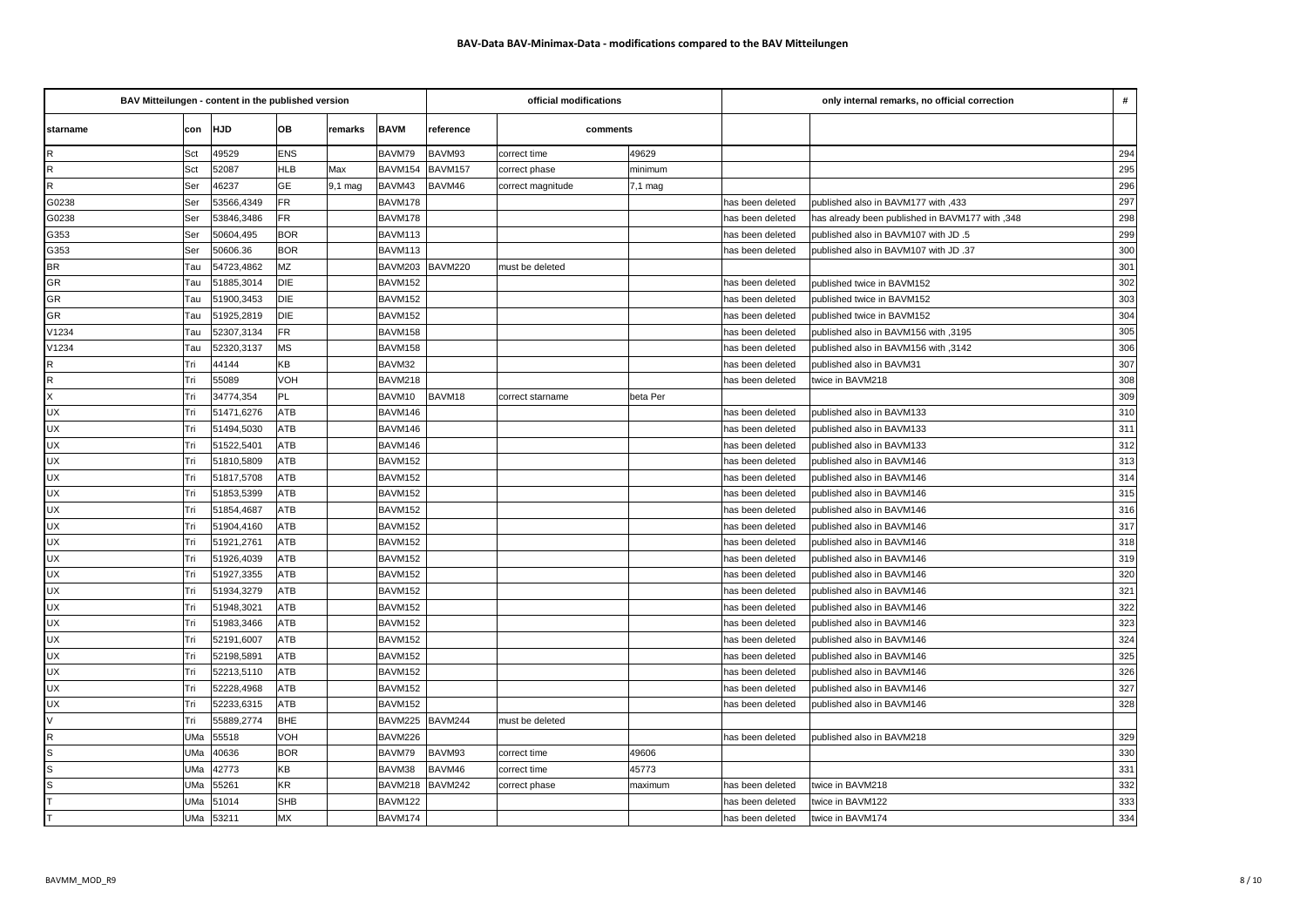| BAV Mitteilungen - content in the published version |     |            |            |         |             |           | official modifications |           | only internal remarks, no official correction |                                                 |     |
|-----------------------------------------------------|-----|------------|------------|---------|-------------|-----------|------------------------|-----------|-----------------------------------------------|-------------------------------------------------|-----|
| starname                                            |     | con HJD    | OВ         | remarks | <b>BAVM</b> | reference | comments               |           |                                               |                                                 |     |
| R                                                   | Sct | 49529      | <b>ENS</b> |         | BAVM79      | BAVM93    | correct time           | 49629     |                                               |                                                 | 294 |
| R                                                   | Sct | 52087      | <b>HLB</b> | Max     | BAVM154     | BAVM157   | correct phase          | minimum   |                                               |                                                 | 295 |
| $\mathsf{R}$                                        | Ser | 46237      | <b>GE</b>  | 9,1 mag | BAVM43      | BAVM46    | correct magnitude      | $7,1$ mag |                                               |                                                 | 296 |
| G0238                                               | Ser | 53566,4349 | <b>FR</b>  |         | BAVM178     |           |                        |           | has been deleted                              | published also in BAVM177 with ,433             | 297 |
| G0238                                               | Ser | 53846,3486 | <b>FR</b>  |         | BAVM178     |           |                        |           | has been deleted                              | has already been published in BAVM177 with ,348 | 298 |
| G353                                                | Ser | 50604,495  | <b>BOR</b> |         | BAVM113     |           |                        |           | has been deleted                              | published also in BAVM107 with JD .5            | 299 |
| G353                                                | Ser | 50606.36   | <b>BOR</b> |         | BAVM113     |           |                        |           | has been deleted                              | published also in BAVM107 with JD .37           | 300 |
| <b>BR</b>                                           | Tau | 54723,4862 | MZ         |         | BAVM203     | BAVM220   | must be deleted        |           |                                               |                                                 | 301 |
| <b>GR</b>                                           | Tau | 51885,3014 | <b>DIE</b> |         | BAVM152     |           |                        |           | has been deleted                              | published twice in BAVM152                      | 302 |
| <b>GR</b>                                           | Tau | 51900,3453 | <b>DIE</b> |         | BAVM152     |           |                        |           | has been deleted                              | published twice in BAVM152                      | 303 |
| GR                                                  | Tau | 51925,2819 | <b>DIE</b> |         | BAVM152     |           |                        |           | has been deleted                              | published twice in BAVM152                      | 304 |
| V1234                                               | Tau | 52307,3134 | <b>FR</b>  |         | BAVM158     |           |                        |           | has been deleted                              | published also in BAVM156 with ,3195            | 305 |
| V1234                                               | Tau | 52320,3137 | <b>MS</b>  |         | BAVM158     |           |                        |           | has been deleted                              | published also in BAVM156 with ,3142            | 306 |
| $\mathsf R$                                         | Tri | 44144      | KB         |         | BAVM32      |           |                        |           | has been deleted                              | published also in BAVM31                        | 307 |
| $\mathsf R$                                         | Tri | 55089      | VOH        |         | BAVM218     |           |                        |           | has been deleted                              | twice in BAVM218                                | 308 |
| $\times$                                            | Tri | 34774,354  | PL         |         | BAVM10      | BAVM18    | correct starname       | beta Per  |                                               |                                                 | 309 |
| <b>UX</b>                                           | Tri | 51471,6276 | <b>ATB</b> |         | BAVM146     |           |                        |           | has been deleted                              | published also in BAVM133                       | 310 |
| <b>UX</b>                                           | Tri | 51494,5030 | ATB        |         | BAVM146     |           |                        |           | has been deleted                              | published also in BAVM133                       | 311 |
| <b>UX</b>                                           | Tri | 51522,5401 | ATB        |         | BAVM146     |           |                        |           | has been deleted                              | published also in BAVM133                       | 312 |
| <b>UX</b>                                           | Tri | 51810,5809 | ATB        |         | BAVM152     |           |                        |           | has been deleted                              | published also in BAVM146                       | 313 |
| <b>UX</b>                                           | Tri | 51817,5708 | ATB        |         | BAVM152     |           |                        |           | has been deleted                              | published also in BAVM146                       | 314 |
| <b>UX</b>                                           | Tri | 51853,5399 | ATB        |         | BAVM152     |           |                        |           | has been deleted                              | published also in BAVM146                       | 315 |
| <b>UX</b>                                           | Tri | 51854,4687 | ATB        |         | BAVM152     |           |                        |           | has been deleted                              | published also in BAVM146                       | 316 |
| <b>UX</b>                                           | Tri | 51904,4160 | ATB        |         | BAVM152     |           |                        |           | has been deleted                              | published also in BAVM146                       | 317 |
| <b>UX</b>                                           | Tri | 51921,2761 | ATB        |         | BAVM152     |           |                        |           | has been deleted                              | published also in BAVM146                       | 318 |
| <b>UX</b>                                           | Tri | 51926,4039 | ATB        |         | BAVM152     |           |                        |           | has been deleted                              | published also in BAVM146                       | 319 |
| <b>UX</b>                                           | Tri | 51927,3355 | ATB        |         | BAVM152     |           |                        |           | has been deleted                              | published also in BAVM146                       | 320 |
| UX                                                  | Tri | 51934,3279 | ATB        |         | BAVM152     |           |                        |           | has been deleted                              | published also in BAVM146                       | 321 |
| <b>UX</b>                                           | Tri | 51948,3021 | <b>ATB</b> |         | BAVM152     |           |                        |           | has been deleted                              | published also in BAVM146                       | 322 |
| <b>UX</b>                                           | Tri | 51983,3466 | ATB        |         | BAVM152     |           |                        |           | has been deleted                              | published also in BAVM146                       | 323 |
| <b>UX</b>                                           | Tri | 52191,6007 | ATB        |         | BAVM152     |           |                        |           | has been deleted                              | published also in BAVM146                       | 324 |
| <b>UX</b>                                           | Tri | 52198,5891 | ATB        |         | BAVM152     |           |                        |           | has been deleted                              | published also in BAVM146                       | 325 |
| <b>UX</b>                                           | Tri | 52213,5110 | ATB        |         | BAVM152     |           |                        |           | has been deleted                              | published also in BAVM146                       | 326 |
| <b>UX</b>                                           | Tri | 52228,4968 | ATB        |         | BAVM152     |           |                        |           | has been deleted                              | published also in BAVM146                       | 327 |
| UX                                                  | Tri | 52233,6315 | ATB        |         | BAVM152     |           |                        |           | has been deleted                              | published also in BAVM146                       | 328 |
| V                                                   | Tri | 55889,2774 | BHE        |         | BAVM225     | BAVM244   | must be deleted        |           |                                               |                                                 |     |
| $\mathsf{R}$                                        | UMa | 55518      | VOH        |         | BAVM226     |           |                        |           | has been deleted                              | published also in BAVM218                       | 329 |
| $\mathsf{s}$                                        | UMa | 40636      | <b>BOR</b> |         | BAVM79      | BAVM93    | correct time           | 49606     |                                               |                                                 | 330 |
| $\mathsf{s}$                                        | UMa | 42773      | KB         |         | BAVM38      | BAVM46    | correct time           | 45773     |                                               |                                                 | 331 |
| <sub>S</sub>                                        | UMa | 55261      | KR         |         | BAVM218     | BAVM242   | correct phase          | maximum   | has been deleted                              | twice in BAVM218                                | 332 |
|                                                     | UMa | 51014      | <b>SHB</b> |         | BAVM122     |           |                        |           | has been deleted                              | twice in BAVM122                                | 333 |
|                                                     | UMa | 53211      | MX         |         | BAVM174     |           |                        |           | has been deleted                              | twice in BAVM174                                | 334 |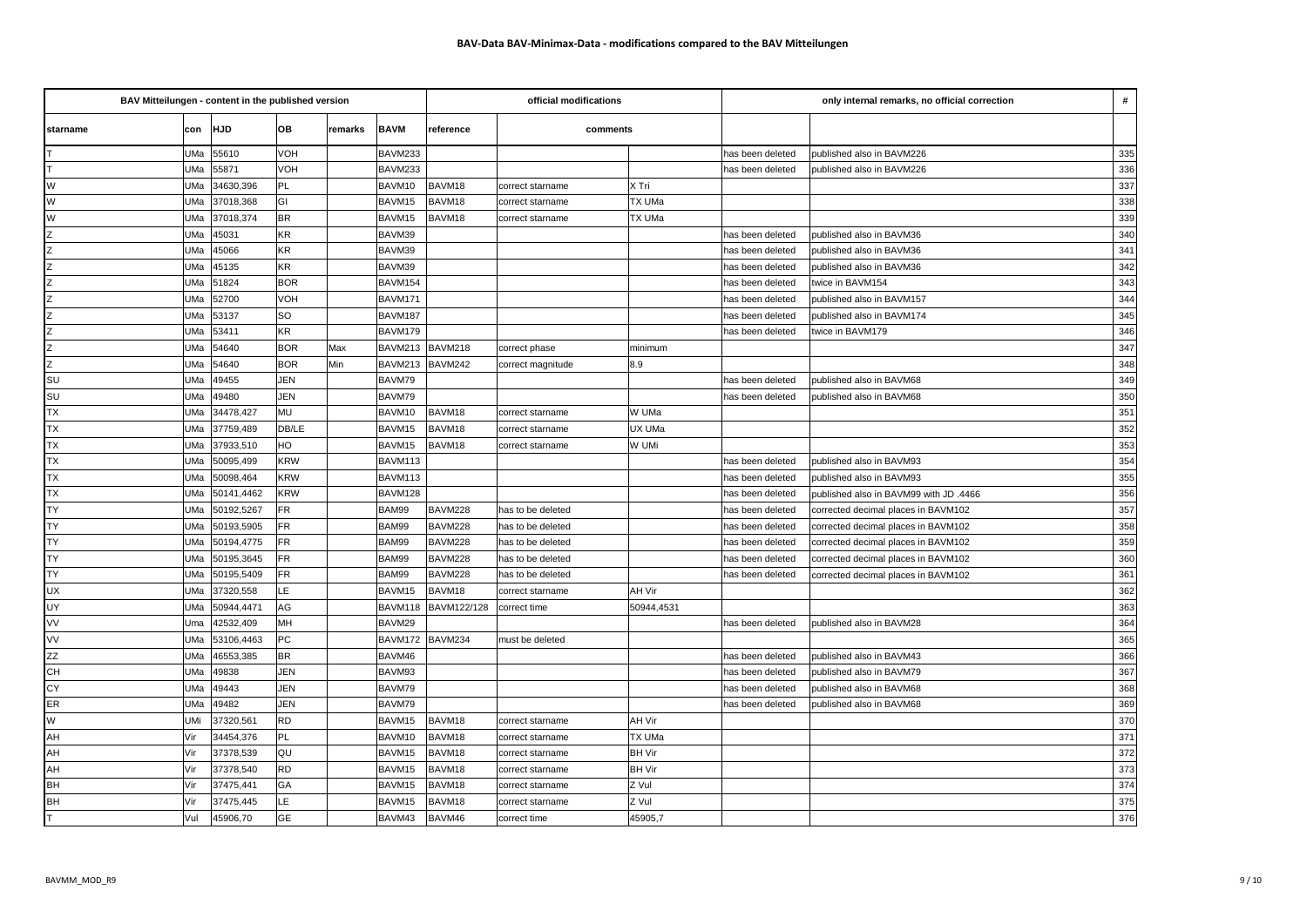| BAV Mitteilungen - content in the published version |                     |            |         |             |             | official modifications |               | only internal remarks, no official correction<br># |                                        |     |
|-----------------------------------------------------|---------------------|------------|---------|-------------|-------------|------------------------|---------------|----------------------------------------------------|----------------------------------------|-----|
| starname                                            | con HJD             | OB         | remarks | <b>BAVM</b> | reference   | comments               |               |                                                    |                                        |     |
|                                                     | 55610<br>UMa        | VOH        |         | BAVM233     |             |                        |               | has been deleted                                   | published also in BAVM226              | 335 |
|                                                     | 55871<br>UMa        | VOH        |         | BAVM233     |             |                        |               | has been deleted                                   | published also in BAVM226              | 336 |
| W                                                   | 34630,396<br>UMa    | PL         |         | BAVM10      | BAVM18      | correct starname       | X Tri         |                                                    |                                        | 337 |
| W                                                   | UMa<br>37018,368    | GI         |         | BAVM15      | BAVM18      | correct starname       | TX UMa        |                                                    |                                        | 338 |
| W                                                   | 37018,374<br>UMa    | <b>BR</b>  |         | BAVM15      | BAVM18      | correct starname       | TX UMa        |                                                    |                                        | 339 |
| Z                                                   | 45031<br>UMa        | KR         |         | BAVM39      |             |                        |               | has been deleted                                   | published also in BAVM36               | 340 |
|                                                     | UMa<br>45066        | <b>KR</b>  |         | BAVM39      |             |                        |               | has been deleted                                   | published also in BAVM36               | 341 |
|                                                     | UMa<br>45135        | KR         |         | BAVM39      |             |                        |               | has been deleted                                   | published also in BAVM36               | 342 |
| $\overline{z}$                                      | 51824<br>UMa        | <b>BOR</b> |         | BAVM154     |             |                        |               | has been deleted                                   | twice in BAVM154                       | 343 |
| $\overline{z}$                                      | 52700<br>UMa        | VOH        |         | BAVM171     |             |                        |               | has been deleted                                   | published also in BAVM157              | 344 |
| Z                                                   | 53137<br>UMa        | SO         |         | BAVM187     |             |                        |               | has been deleted                                   | published also in BAVM174              | 345 |
| Z                                                   | UMa<br>53411        | <b>KR</b>  |         | BAVM179     |             |                        |               | has been deleted                                   | twice in BAVM179                       | 346 |
| Z                                                   | UMa<br>54640        | <b>BOR</b> | Max     | BAVM213     | BAVM218     | correct phase          | minimum       |                                                    |                                        | 347 |
| $\overline{z}$                                      | 54640<br>UMa        | <b>BOR</b> | Min     | BAVM213     | BAVM242     | correct magnitude      | 8.9           |                                                    |                                        | 348 |
| SU                                                  | UMa<br>49455        | <b>JEN</b> |         | BAVM79      |             |                        |               | has been deleted                                   | published also in BAVM68               | 349 |
| SU                                                  | <b>UMa</b><br>49480 | JEN        |         | BAVM79      |             |                        |               | has been deleted                                   | published also in BAVM68               | 350 |
| <b>TX</b>                                           | 34478,427<br>UMa    | MU         |         | BAVM10      | BAVM18      | correct starname       | W UMa         |                                                    |                                        | 351 |
| <b>TX</b>                                           | UMa<br>37759,489    | DB/LE      |         | BAVM15      | BAVM18      | correct starname       | UX UMa        |                                                    |                                        | 352 |
| <b>TX</b>                                           | 37933,510<br>UMa    | HO         |         | BAVM15      | BAVM18      | correct starname       | W UMi         |                                                    |                                        | 353 |
| TX                                                  | UMa<br>50095,499    | <b>KRW</b> |         | BAVM113     |             |                        |               | has been deleted                                   | published also in BAVM93               | 354 |
| <b>TX</b>                                           | UMa<br>50098,464    | <b>KRW</b> |         | BAVM113     |             |                        |               | has been deleted                                   | published also in BAVM93               | 355 |
| <b>TX</b>                                           | UMa<br>50141,4462   | <b>KRW</b> |         | BAVM128     |             |                        |               | has been deleted                                   | published also in BAVM99 with JD .4466 | 356 |
| <b>TY</b>                                           | UMa<br>50192,5267   | <b>FR</b>  |         | BAM99       | BAVM228     | has to be deleted      |               | has been deleted                                   | corrected decimal places in BAVM102    | 357 |
| <b>TY</b>                                           | 50193,5905<br>UMa   | <b>FR</b>  |         | BAM99       | BAVM228     | has to be deleted      |               | has been deleted                                   | corrected decimal places in BAVM102    | 358 |
| <b>TY</b>                                           | UMa<br>50194,4775   | <b>FR</b>  |         | BAM99       | BAVM228     | has to be deleted      |               | has been deleted                                   | corrected decimal places in BAVM102    | 359 |
| <b>TY</b>                                           | UMa<br>50195,3645   | <b>FR</b>  |         | BAM99       | BAVM228     | has to be deleted      |               | has been deleted                                   | corrected decimal places in BAVM102    | 360 |
| <b>TY</b>                                           | UMa<br>50195,5409   | <b>FR</b>  |         | BAM99       | BAVM228     | has to be deleted      |               | has been deleted                                   | corrected decimal places in BAVM102    | 361 |
| <b>UX</b>                                           | UMa<br>37320,558    | LE         |         | BAVM15      | BAVM18      | correct starname       | AH Vir        |                                                    |                                        | 362 |
| UY                                                  | 50944,4471<br>UMa   | AG         |         | BAVM118     | BAVM122/128 | correct time           | 50944,4531    |                                                    |                                        | 363 |
| VV                                                  | 42532,409<br>Uma    | MH         |         | BAVM29      |             |                        |               | has been deleted                                   | published also in BAVM28               | 364 |
| VV                                                  | UMa<br>53106,4463   | PC         |         | BAVM172     | BAVM234     | must be deleted        |               |                                                    |                                        | 365 |
| <b>ZZ</b>                                           | UMa<br>46553,385    | <b>BR</b>  |         | BAVM46      |             |                        |               | has been deleted                                   | published also in BAVM43               | 366 |
| CH                                                  | 49838<br>UMa        | <b>JEN</b> |         | BAVM93      |             |                        |               | has been deleted                                   | published also in BAVM79               | 367 |
| CY                                                  | 49443<br>UMa        | JEN        |         | BAVM79      |             |                        |               | has been deleted                                   | published also in BAVM68               | 368 |
| ER                                                  | UMa<br>49482        | <b>JEN</b> |         | BAVM79      |             |                        |               | has been deleted                                   | published also in BAVM68               | 369 |
| W                                                   | UMi<br>37320,561    | <b>RD</b>  |         | BAVM15      | BAVM18      | correct starname       | AH Vir        |                                                    |                                        | 370 |
| AH                                                  | Vir<br>34454,376    | <b>PL</b>  |         | BAVM10      | BAVM18      | correct starname       | TX UMa        |                                                    |                                        | 371 |
| AH                                                  | Vir<br>37378,539    | QU         |         | BAVM15      | BAVM18      | correct starname       | <b>BH Vir</b> |                                                    |                                        | 372 |
| AH                                                  | Vir<br>37378,540    | <b>RD</b>  |         | BAVM15      | BAVM18      | correct starname       | <b>BH Vir</b> |                                                    |                                        | 373 |
| <b>BH</b>                                           | Vir<br>37475,441    | GA         |         | BAVM15      | BAVM18      | correct starname       | Z Vul         |                                                    |                                        | 374 |
| <b>BH</b>                                           | Vir<br>37475,445    | LE         |         | BAVM15      | BAVM18      | correct starname       | Z Vul         |                                                    |                                        | 375 |
|                                                     | 45906,70<br>Vul     | GE         |         | BAVM43      | BAVM46      | correct time           | 45905,7       |                                                    |                                        | 376 |